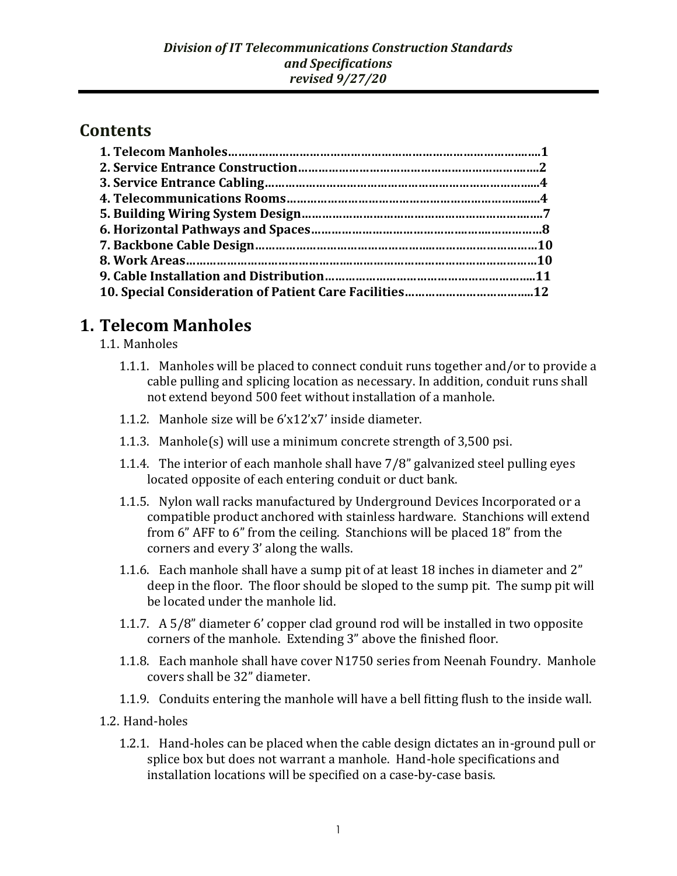### **Contents**

## **1. Telecom Manholes**

- 1.1. Manholes
	- 1.1.1. Manholes will be placed to connect conduit runs together and/or to provide a cable pulling and splicing location as necessary. In addition, conduit runs shall not extend beyond 500 feet without installation of a manhole.
	- 1.1.2. Manhole size will be 6'x12'x7' inside diameter.
	- 1.1.3. Manhole(s) will use a minimum concrete strength of 3,500 psi.
	- 1.1.4. The interior of each manhole shall have 7/8" galvanized steel pulling eyes located opposite of each entering conduit or duct bank.
	- 1.1.5. Nylon wall racks manufactured by Underground Devices Incorporated or a compatible product anchored with stainless hardware. Stanchions will extend from 6" AFF to 6" from the ceiling. Stanchions will be placed 18" from the corners and every 3' along the walls.
	- 1.1.6. Each manhole shall have a sump pit of at least 18 inches in diameter and 2" deep in the floor. The floor should be sloped to the sump pit. The sump pit will be located under the manhole lid.
	- 1.1.7. A 5/8" diameter 6' copper clad ground rod will be installed in two opposite corners of the manhole. Extending 3" above the finished floor.
	- 1.1.8. Each manhole shall have cover N1750 series from Neenah Foundry. Manhole covers shall be 32" diameter.
	- 1.1.9. Conduits entering the manhole will have a bell fitting flush to the inside wall.
- 1.2. Hand-holes
	- 1.2.1. Hand-holes can be placed when the cable design dictates an in-ground pull or splice box but does not warrant a manhole. Hand-hole specifications and installation locations will be specified on a case-by-case basis.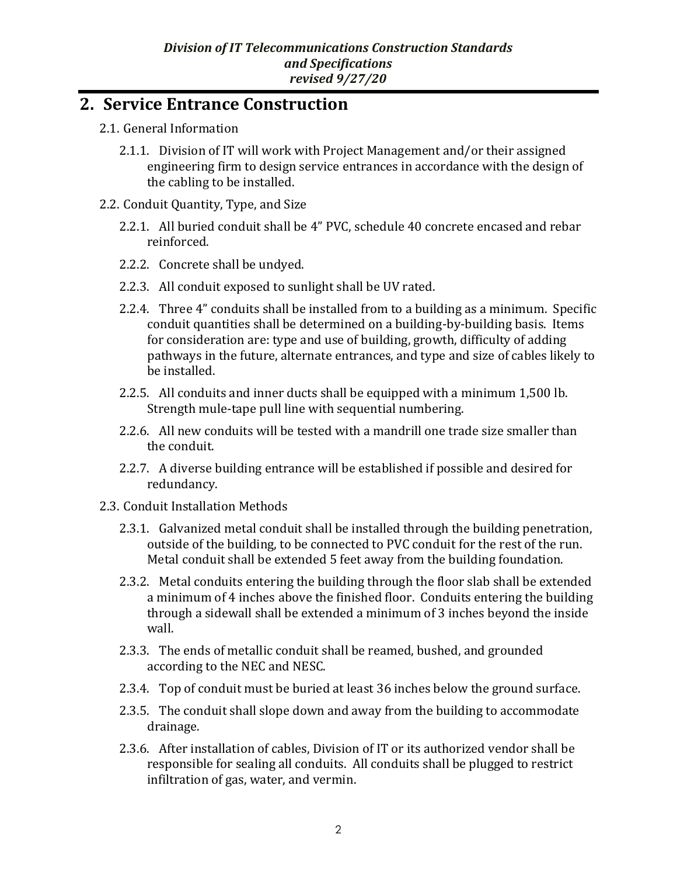### **2. Service Entrance Construction**

- 2.1. General Information
	- 2.1.1. Division of IT will work with Project Management and/or their assigned engineering firm to design service entrances in accordance with the design of the cabling to be installed.
- 2.2. Conduit Quantity, Type, and Size
	- 2.2.1. All buried conduit shall be 4" PVC, schedule 40 concrete encased and rebar reinforced.
	- 2.2.2. Concrete shall be undyed.
	- 2.2.3. All conduit exposed to sunlight shall be UV rated.
	- 2.2.4. Three 4" conduits shall be installed from to a building as a minimum. Specific conduit quantities shall be determined on a building-by-building basis. Items for consideration are: type and use of building, growth, difficulty of adding pathways in the future, alternate entrances, and type and size of cables likely to be installed.
	- 2.2.5. All conduits and inner ducts shall be equipped with a minimum 1,500 lb. Strength mule-tape pull line with sequential numbering.
	- 2.2.6. All new conduits will be tested with a mandrill one trade size smaller than the conduit.
	- 2.2.7. A diverse building entrance will be established if possible and desired for redundancy.
- 2.3. Conduit Installation Methods
	- 2.3.1. Galvanized metal conduit shall be installed through the building penetration, outside of the building, to be connected to PVC conduit for the rest of the run. Metal conduit shall be extended 5 feet away from the building foundation.
	- 2.3.2. Metal conduits entering the building through the floor slab shall be extended a minimum of 4 inches above the finished floor. Conduits entering the building through a sidewall shall be extended a minimum of 3 inches beyond the inside wall.
	- 2.3.3. The ends of metallic conduit shall be reamed, bushed, and grounded according to the NEC and NESC.
	- 2.3.4. Top of conduit must be buried at least 36 inches below the ground surface.
	- 2.3.5. The conduit shall slope down and away from the building to accommodate drainage.
	- 2.3.6. After installation of cables, Division of IT or its authorized vendor shall be responsible for sealing all conduits. All conduits shall be plugged to restrict infiltration of gas, water, and vermin.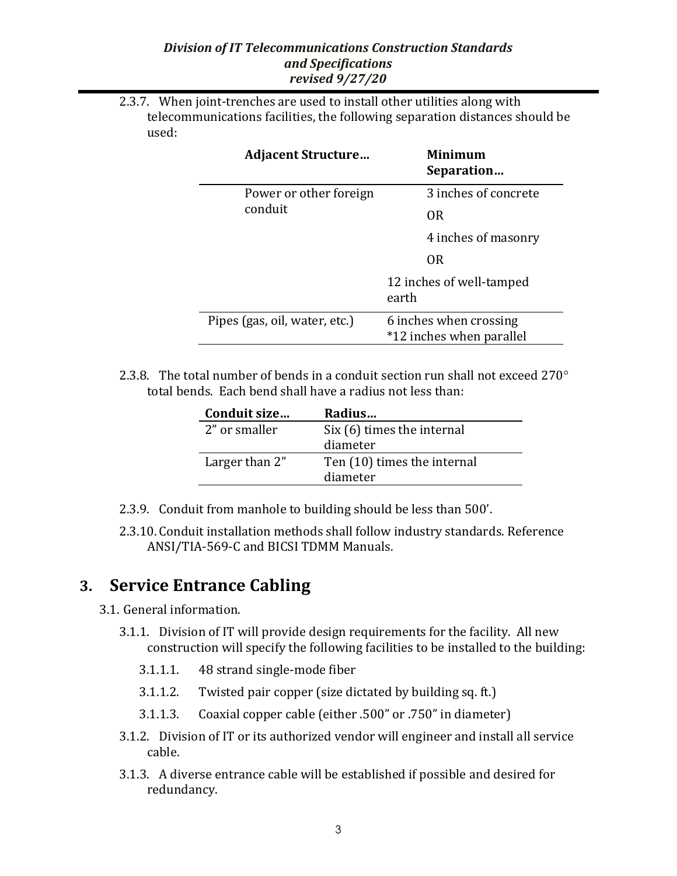2.3.7. When joint-trenches are used to install other utilities along with telecommunications facilities, the following separation distances should be used:

| <b>Adjacent Structure</b>         | Minimum<br>Separation                              |
|-----------------------------------|----------------------------------------------------|
| Power or other foreign<br>conduit | 3 inches of concrete                               |
|                                   | OR.                                                |
|                                   | 4 inches of masonry                                |
|                                   | <b>OR</b>                                          |
|                                   | 12 inches of well-tamped<br>earth                  |
| Pipes (gas, oil, water, etc.)     | 6 inches when crossing<br>*12 inches when parallel |

2.3.8. The total number of bends in a conduit section run shall not exceed 270 $^{\circ}$ total bends. Each bend shall have a radius not less than:

| Radius                      |
|-----------------------------|
| Six (6) times the internal  |
| diameter                    |
| Ten (10) times the internal |
| diameter                    |
|                             |

- 2.3.9. Conduit from manhole to building should be less than 500'.
- 2.3.10. Conduit installation methods shall follow industry standards. Reference ANSI/TIA-569-C and BICSI TDMM Manuals.

## **3. Service Entrance Cabling**

- 3.1. General information.
	- 3.1.1. Division of IT will provide design requirements for the facility. All new construction will specify the following facilities to be installed to the building:
		- 3.1.1.1. 48 strand single-mode fiber
		- 3.1.1.2. Twisted pair copper (size dictated by building sq. ft.)
		- 3.1.1.3. Coaxial copper cable (either .500" or .750" in diameter)
	- 3.1.2. Division of IT or its authorized vendor will engineer and install all service cable.
	- 3.1.3. A diverse entrance cable will be established if possible and desired for redundancy.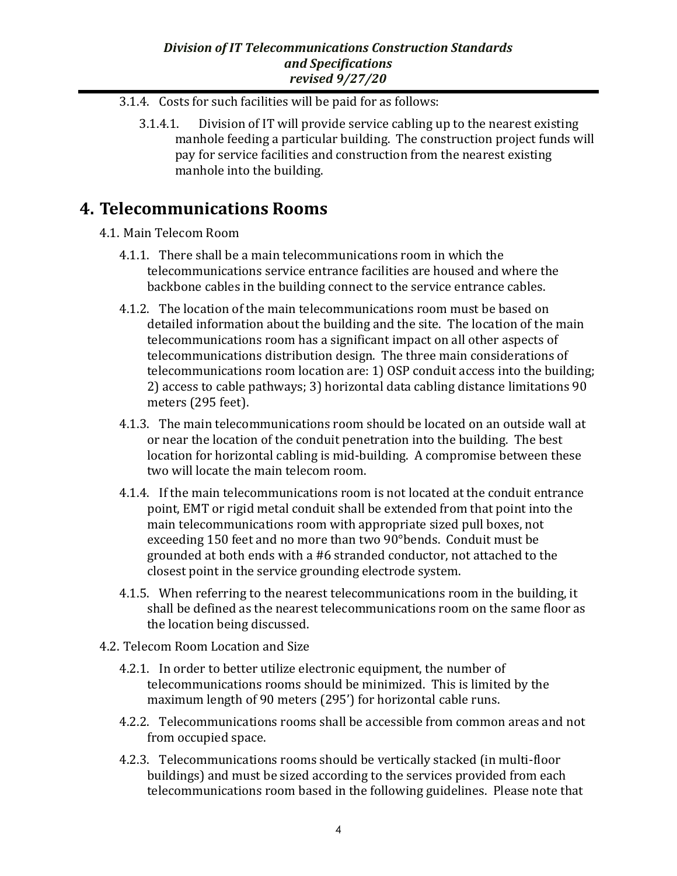- 3.1.4. Costs for such facilities will be paid for as follows:
	- 3.1.4.1. Division of IT will provide service cabling up to the nearest existing manhole feeding a particular building. The construction project funds will pay for service facilities and construction from the nearest existing manhole into the building.

### **4. Telecommunications Rooms**

- 4.1. Main Telecom Room
	- 4.1.1. There shall be a main telecommunications room in which the telecommunications service entrance facilities are housed and where the backbone cables in the building connect to the service entrance cables.
	- 4.1.2. The location of the main telecommunications room must be based on detailed information about the building and the site. The location of the main telecommunications room has a significant impact on all other aspects of telecommunications distribution design. The three main considerations of telecommunications room location are: 1) OSP conduit access into the building; 2) access to cable pathways; 3) horizontal data cabling distance limitations 90 meters (295 feet).
	- 4.1.3. The main telecommunications room should be located on an outside wall at or near the location of the conduit penetration into the building. The best location for horizontal cabling is mid-building. A compromise between these two will locate the main telecom room.
	- 4.1.4. If the main telecommunications room is not located at the conduit entrance point, EMT or rigid metal conduit shall be extended from that point into the main telecommunications room with appropriate sized pull boxes, not exceeding 150 feet and no more than two 90°bends. Conduit must be grounded at both ends with a #6 stranded conductor, not attached to the closest point in the service grounding electrode system.
	- 4.1.5. When referring to the nearest telecommunications room in the building, it shall be defined as the nearest telecommunications room on the same floor as the location being discussed.
- 4.2. Telecom Room Location and Size
	- 4.2.1. In order to better utilize electronic equipment, the number of telecommunications rooms should be minimized. This is limited by the maximum length of 90 meters (295') for horizontal cable runs.
	- 4.2.2. Telecommunications rooms shall be accessible from common areas and not from occupied space.
	- 4.2.3. Telecommunications rooms should be vertically stacked (in multi-floor buildings) and must be sized according to the services provided from each telecommunications room based in the following guidelines. Please note that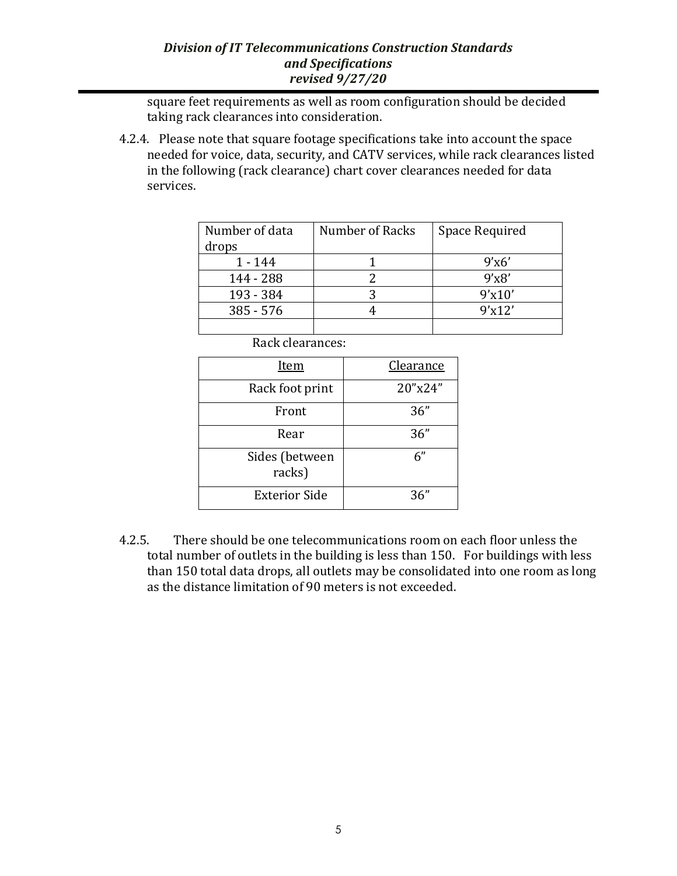square feet requirements as well as room configuration should be decided taking rack clearances into consideration.

4.2.4. Please note that square footage specifications take into account the space needed for voice, data, security, and CATV services, while rack clearances listed in the following (rack clearance) chart cover clearances needed for data services.

| Number of data | Number of Racks | Space Required |
|----------------|-----------------|----------------|
| drops          |                 |                |
| 1 - 144        |                 | 9'x6'          |
| 144 - 288      |                 | 9'x8'          |
| 193 - 384      |                 | 9'x10'         |
| $385 - 576$    |                 | 9'x12'         |
|                |                 |                |

Rack clearances:

| <u>Item</u>              | <b>Clearance</b> |
|--------------------------|------------------|
| Rack foot print          | 20"x24"          |
| Front                    | 36"              |
| Rear                     | 36"              |
| Sides (between<br>racks) | 6"               |
| <b>Exterior Side</b>     | 36"              |

4.2.5. There should be one telecommunications room on each floor unless the total number of outlets in the building is less than 150. For buildings with less than 150 total data drops, all outlets may be consolidated into one room as long as the distance limitation of 90 meters is not exceeded.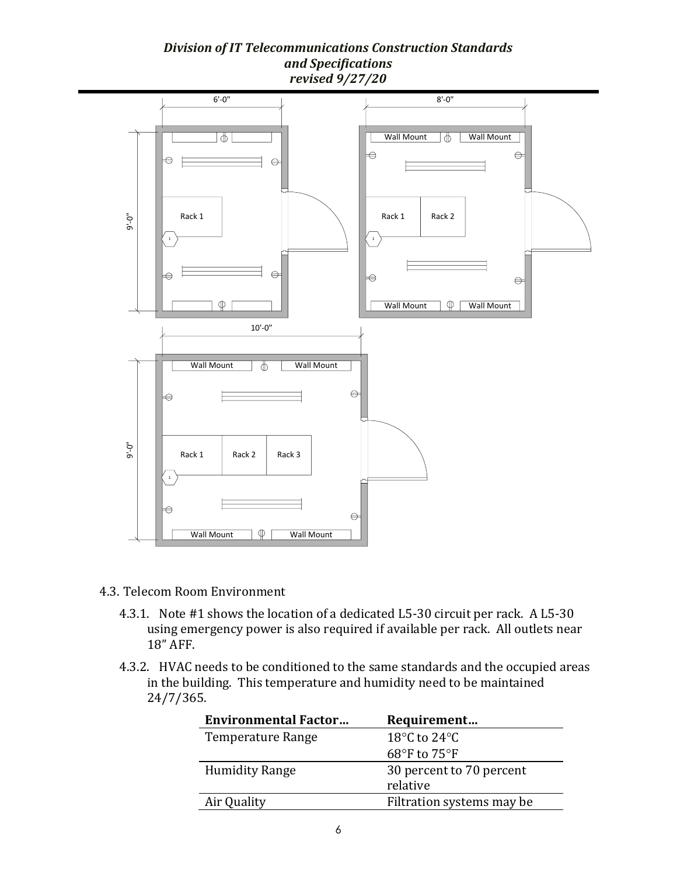

- 4.3. Telecom Room Environment
	- 4.3.1. Note #1 shows the location of a dedicated L5-30 circuit per rack. A L5-30 using emergency power is also required if available per rack. All outlets near 18" AFF.
	- 4.3.2. HVAC needs to be conditioned to the same standards and the occupied areas in the building. This temperature and humidity need to be maintained 24/7/365.

| <b>Environmental Factor</b> | Requirement                      |
|-----------------------------|----------------------------------|
| Temperature Range           | 18 $\degree$ C to 24 $\degree$ C |
|                             | 68°F to $75$ °F                  |
| <b>Humidity Range</b>       | 30 percent to 70 percent         |
|                             | relative                         |
| Air Quality                 | Filtration systems may be        |
|                             |                                  |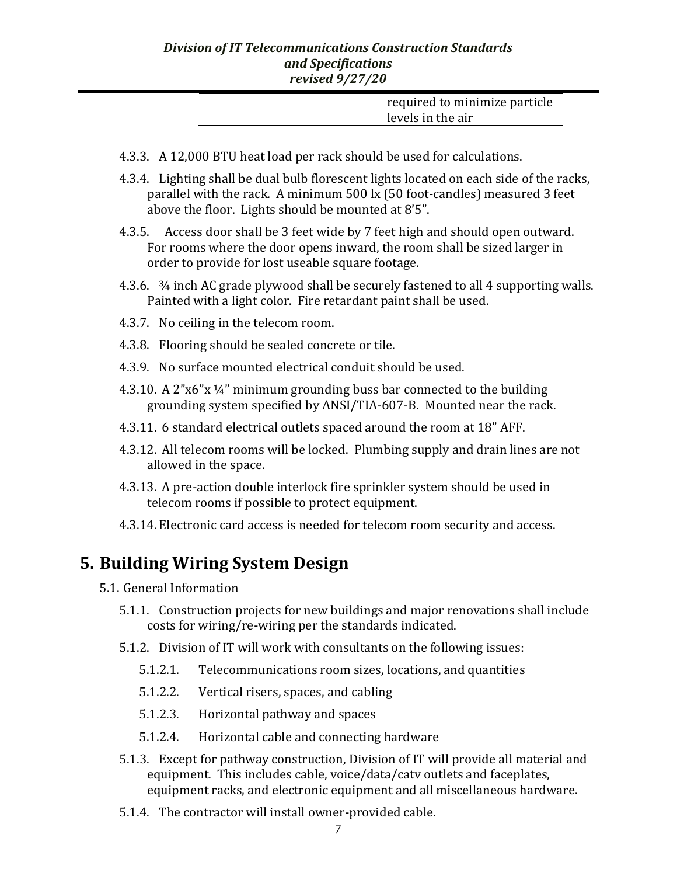| required to minimize particle |
|-------------------------------|
| levels in the air             |

- 4.3.3. A 12,000 BTU heat load per rack should be used for calculations.
- 4.3.4. Lighting shall be dual bulb florescent lights located on each side of the racks, parallel with the rack. A minimum 500 lx (50 foot-candles) measured 3 feet above the floor. Lights should be mounted at 8'5".
- 4.3.5. Access door shall be 3 feet wide by 7 feet high and should open outward. For rooms where the door opens inward, the room shall be sized larger in order to provide for lost useable square footage.
- 4.3.6. ¾ inch AC grade plywood shall be securely fastened to all 4 supporting walls. Painted with a light color. Fire retardant paint shall be used.
- 4.3.7. No ceiling in the telecom room.
- 4.3.8. Flooring should be sealed concrete or tile.
- 4.3.9. No surface mounted electrical conduit should be used.
- 4.3.10. A 2"x6"x ¼" minimum grounding buss bar connected to the building grounding system specified by ANSI/TIA-607-B. Mounted near the rack.
- 4.3.11. 6 standard electrical outlets spaced around the room at 18" AFF.
- 4.3.12. All telecom rooms will be locked. Plumbing supply and drain lines are not allowed in the space.
- 4.3.13. A pre-action double interlock fire sprinkler system should be used in telecom rooms if possible to protect equipment.
- 4.3.14. Electronic card access is needed for telecom room security and access.

### **5. Building Wiring System Design**

- 5.1. General Information
	- 5.1.1. Construction projects for new buildings and major renovations shall include costs for wiring/re-wiring per the standards indicated.
	- 5.1.2. Division of IT will work with consultants on the following issues:
		- 5.1.2.1. Telecommunications room sizes, locations, and quantities
		- 5.1.2.2. Vertical risers, spaces, and cabling
		- 5.1.2.3. Horizontal pathway and spaces
		- 5.1.2.4. Horizontal cable and connecting hardware
	- 5.1.3. Except for pathway construction, Division of IT will provide all material and equipment. This includes cable, voice/data/catv outlets and faceplates, equipment racks, and electronic equipment and all miscellaneous hardware.
	- 5.1.4. The contractor will install owner-provided cable.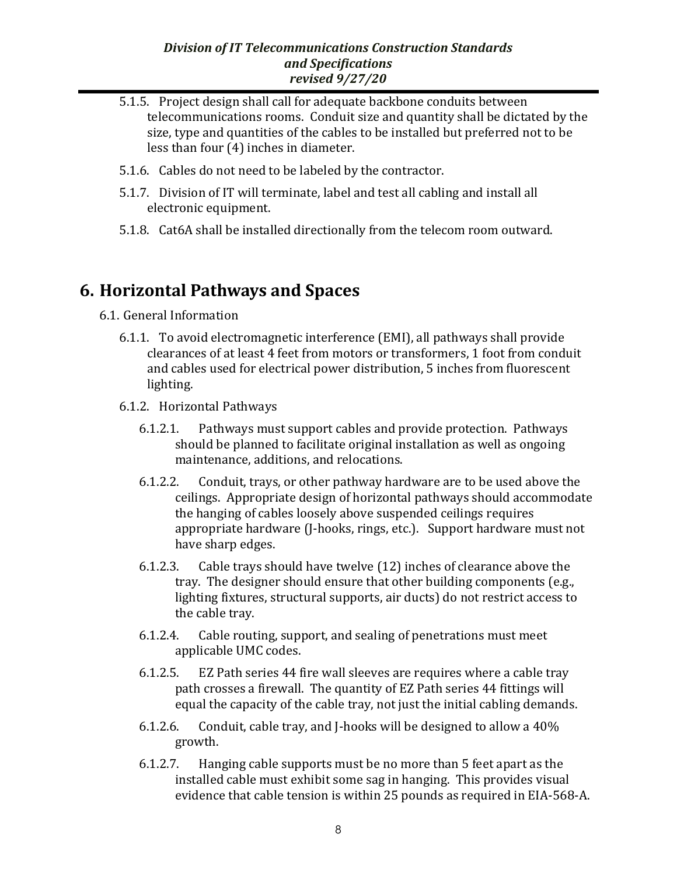- 5.1.5. Project design shall call for adequate backbone conduits between telecommunications rooms. Conduit size and quantity shall be dictated by the size, type and quantities of the cables to be installed but preferred not to be less than four (4) inches in diameter.
- 5.1.6. Cables do not need to be labeled by the contractor.
- 5.1.7. Division of IT will terminate, label and test all cabling and install all electronic equipment.
- 5.1.8. Cat6A shall be installed directionally from the telecom room outward.

## **6. Horizontal Pathways and Spaces**

- 6.1. General Information
	- 6.1.1. To avoid electromagnetic interference (EMI), all pathways shall provide clearances of at least 4 feet from motors or transformers, 1 foot from conduit and cables used for electrical power distribution, 5 inches from fluorescent lighting.
	- 6.1.2. Horizontal Pathways
		- 6.1.2.1. Pathways must support cables and provide protection. Pathways should be planned to facilitate original installation as well as ongoing maintenance, additions, and relocations.
		- 6.1.2.2. Conduit, trays, or other pathway hardware are to be used above the ceilings. Appropriate design of horizontal pathways should accommodate the hanging of cables loosely above suspended ceilings requires appropriate hardware (J-hooks, rings, etc.). Support hardware must not have sharp edges.
		- 6.1.2.3. Cable trays should have twelve (12) inches of clearance above the tray. The designer should ensure that other building components (e.g., lighting fixtures, structural supports, air ducts) do not restrict access to the cable tray.
		- 6.1.2.4. Cable routing, support, and sealing of penetrations must meet applicable UMC codes.
		- 6.1.2.5. EZ Path series 44 fire wall sleeves are requires where a cable tray path crosses a firewall. The quantity of EZ Path series 44 fittings will equal the capacity of the cable tray, not just the initial cabling demands.
		- 6.1.2.6. Conduit, cable tray, and J-hooks will be designed to allow a 40% growth.
		- 6.1.2.7. Hanging cable supports must be no more than 5 feet apart as the installed cable must exhibit some sag in hanging. This provides visual evidence that cable tension is within 25 pounds as required in EIA-568-A.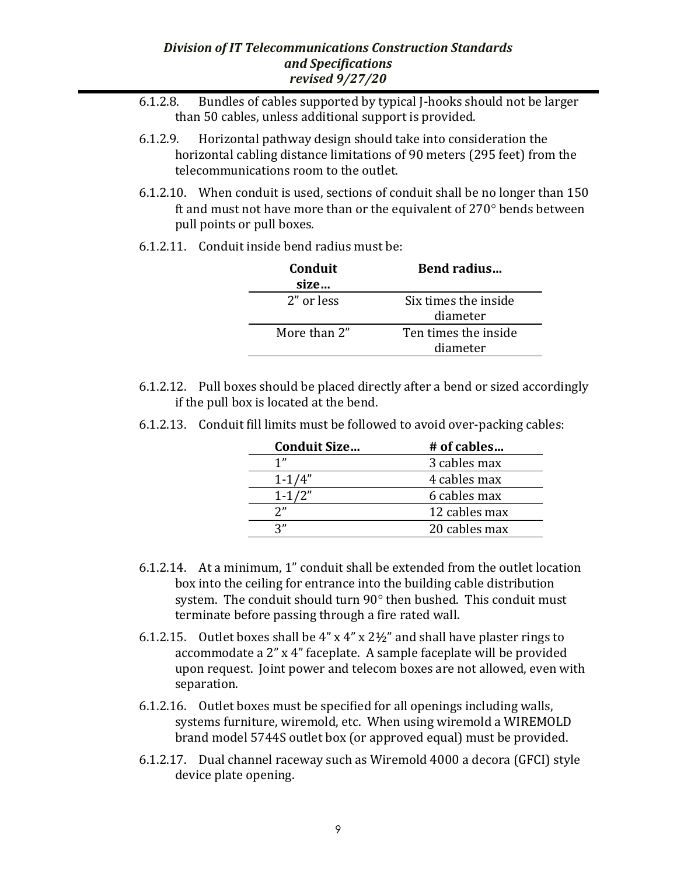- 6.1.2.8. Bundles of cables supported by typical J-hooks should not be larger than 50 cables, unless additional support is provided.
- 6.1.2.9. Horizontal pathway design should take into consideration the horizontal cabling distance limitations of 90 meters (295 feet) from the telecommunications room to the outlet.
- 6.1.2.10. When conduit is used, sections of conduit shall be no longer than 150 ft and must not have more than or the equivalent of  $270^\circ$  bends between pull points or pull boxes.
- 6.1.2.11. Conduit inside bend radius must be:

| Conduit<br>size | Bend radius                      |
|-----------------|----------------------------------|
| 2" or less      | Six times the inside<br>diameter |
| More than 2"    | Ten times the inside<br>diameter |

6.1.2.12. Pull boxes should be placed directly after a bend or sized accordingly if the pull box is located at the bend.

| <b>Conduit Size</b> | # of cables   |
|---------------------|---------------|
| 1"                  | 3 cables max  |
| $1 - 1/4"$          | 4 cables max  |
| $1 - 1/2"$          | 6 cables max  |
| יי?                 | 12 cables max |
| 2"                  | 20 cables max |

6.1.2.13. Conduit fill limits must be followed to avoid over-packing cables:

- 6.1.2.14. At a minimum, 1" conduit shall be extended from the outlet location box into the ceiling for entrance into the building cable distribution system. The conduit should turn 90° then bushed. This conduit must terminate before passing through a fire rated wall.
- 6.1.2.15. Outlet boxes shall be  $4''$  x  $4''$  x  $2\frac{1}{2}$ " and shall have plaster rings to accommodate a 2" x 4" faceplate. A sample faceplate will be provided upon request. Joint power and telecom boxes are not allowed, even with separation.
- 6.1.2.16. Outlet boxes must be specified for all openings including walls, systems furniture, wiremold, etc. When using wiremold a WIREMOLD brand model 5744S outlet box (or approved equal) must be provided.
- 6.1.2.17. Dual channel raceway such as Wiremold 4000 a decora (GFCI) style device plate opening.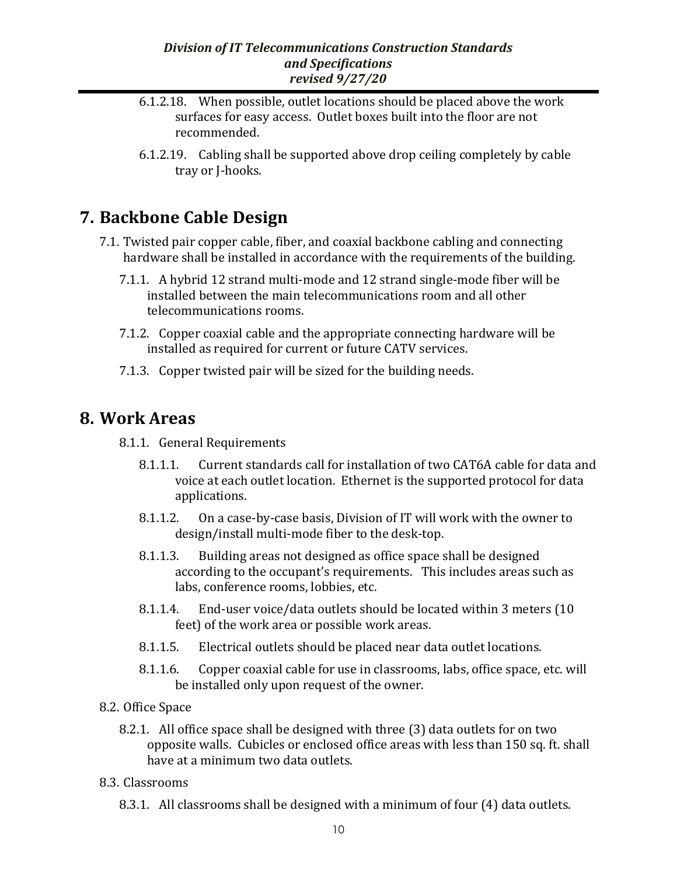- 6.1.2.18. When possible, outlet locations should be placed above the work surfaces for easy access. Outlet boxes built into the floor are not recommended.
- 6.1.2.19. Cabling shall be supported above drop ceiling completely by cable tray or J-hooks.

# **7. Backbone Cable Design**

- 7.1. Twisted pair copper cable, fiber, and coaxial backbone cabling and connecting hardware shall be installed in accordance with the requirements of the building.
	- 7.1.1. A hybrid 12 strand multi-mode and 12 strand single-mode fiber will be installed between the main telecommunications room and all other telecommunications rooms.
	- 7.1.2. Copper coaxial cable and the appropriate connecting hardware will be installed as required for current or future CATV services.
	- 7.1.3. Copper twisted pair will be sized for the building needs.

## **8. Work Areas**

- 8.1.1. General Requirements
	- 8.1.1.1. Current standards call for installation of two CAT6A cable for data and voice at each outlet location. Ethernet is the supported protocol for data applications.
	- 8.1.1.2. On a case-by-case basis, Division of IT will work with the owner to design/install multi-mode fiber to the desk-top.
	- 8.1.1.3. Building areas not designed as office space shall be designed according to the occupant's requirements. This includes areas such as labs, conference rooms, lobbies, etc.
	- 8.1.1.4. End-user voice/data outlets should be located within 3 meters (10 feet) of the work area or possible work areas.
	- 8.1.1.5. Electrical outlets should be placed near data outlet locations.
	- 8.1.1.6. Copper coaxial cable for use in classrooms, labs, office space, etc. will be installed only upon request of the owner.
- 8.2. Office Space
	- 8.2.1. All office space shall be designed with three (3) data outlets for on two opposite walls. Cubicles or enclosed office areas with less than 150 sq. ft. shall have at a minimum two data outlets.
- 8.3. Classrooms
	- 8.3.1. All classrooms shall be designed with a minimum of four (4) data outlets.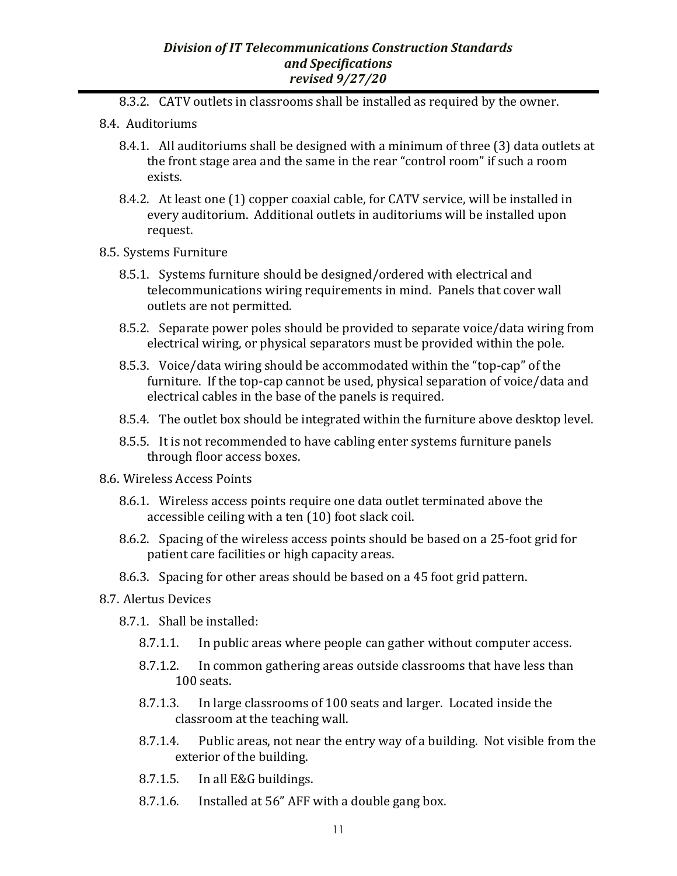- 8.3.2. CATV outlets in classrooms shall be installed as required by the owner.
- 8.4. Auditoriums
	- 8.4.1. All auditoriums shall be designed with a minimum of three (3) data outlets at the front stage area and the same in the rear "control room" if such a room exists.
	- 8.4.2. At least one (1) copper coaxial cable, for CATV service, will be installed in every auditorium. Additional outlets in auditoriums will be installed upon request.
- 8.5. Systems Furniture
	- 8.5.1. Systems furniture should be designed/ordered with electrical and telecommunications wiring requirements in mind. Panels that cover wall outlets are not permitted.
	- 8.5.2. Separate power poles should be provided to separate voice/data wiring from electrical wiring, or physical separators must be provided within the pole.
	- 8.5.3. Voice/data wiring should be accommodated within the "top-cap" of the furniture. If the top-cap cannot be used, physical separation of voice/data and electrical cables in the base of the panels is required.
	- 8.5.4. The outlet box should be integrated within the furniture above desktop level.
	- 8.5.5. It is not recommended to have cabling enter systems furniture panels through floor access boxes.
- 8.6. Wireless Access Points
	- 8.6.1. Wireless access points require one data outlet terminated above the accessible ceiling with a ten (10) foot slack coil.
	- 8.6.2. Spacing of the wireless access points should be based on a 25-foot grid for patient care facilities or high capacity areas.
	- 8.6.3. Spacing for other areas should be based on a 45 foot grid pattern.
- 8.7. Alertus Devices
	- 8.7.1. Shall be installed:
		- 8.7.1.1. In public areas where people can gather without computer access.
		- 8.7.1.2. In common gathering areas outside classrooms that have less than 100 seats.
		- 8.7.1.3. In large classrooms of 100 seats and larger. Located inside the classroom at the teaching wall.
		- 8.7.1.4. Public areas, not near the entry way of a building. Not visible from the exterior of the building.
		- 8.7.1.5. In all E&G buildings.
		- 8.7.1.6. Installed at 56" AFF with a double gang box.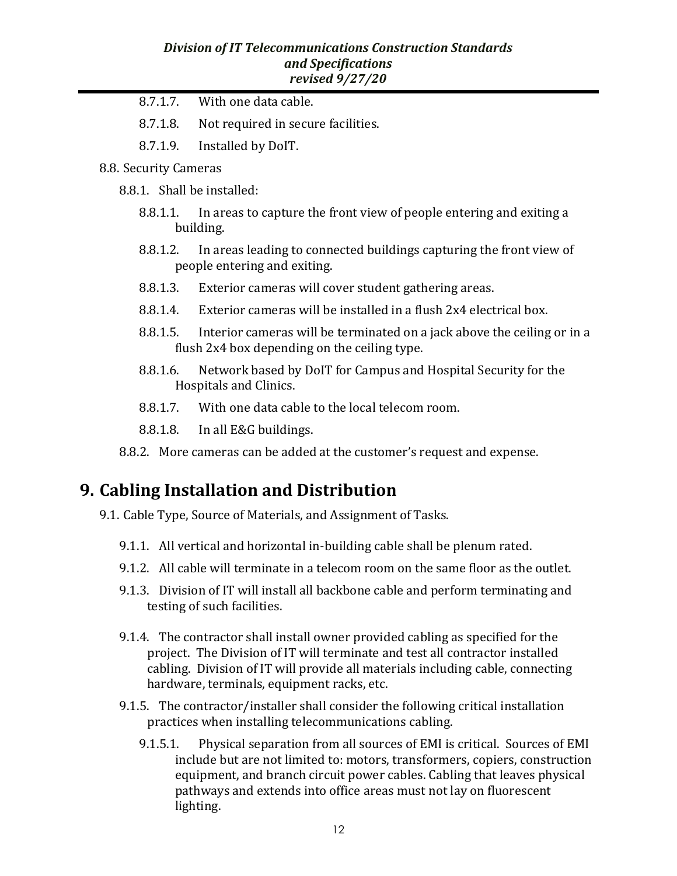- 8.7.1.7. With one data cable.
- 8.7.1.8. Not required in secure facilities.
- 8.7.1.9. Installed by DoIT.
- 8.8. Security Cameras
	- 8.8.1. Shall be installed:
		- 8.8.1.1. In areas to capture the front view of people entering and exiting a building.
		- 8.8.1.2. In areas leading to connected buildings capturing the front view of people entering and exiting.
		- 8.8.1.3. Exterior cameras will cover student gathering areas.
		- 8.8.1.4. Exterior cameras will be installed in a flush 2x4 electrical box.
		- 8.8.1.5. Interior cameras will be terminated on a jack above the ceiling or in a flush 2x4 box depending on the ceiling type.
		- 8.8.1.6. Network based by DoIT for Campus and Hospital Security for the Hospitals and Clinics.
		- 8.8.1.7. With one data cable to the local telecom room.
		- 8.8.1.8. In all E&G buildings.
	- 8.8.2. More cameras can be added at the customer's request and expense.

## **9. Cabling Installation and Distribution**

- 9.1. Cable Type, Source of Materials, and Assignment of Tasks.
	- 9.1.1. All vertical and horizontal in-building cable shall be plenum rated.
	- 9.1.2. All cable will terminate in a telecom room on the same floor as the outlet.
	- 9.1.3. Division of IT will install all backbone cable and perform terminating and testing of such facilities.
	- 9.1.4. The contractor shall install owner provided cabling as specified for the project. The Division of IT will terminate and test all contractor installed cabling. Division of IT will provide all materials including cable, connecting hardware, terminals, equipment racks, etc.
	- 9.1.5. The contractor/installer shall consider the following critical installation practices when installing telecommunications cabling.
		- 9.1.5.1. Physical separation from all sources of EMI is critical. Sources of EMI include but are not limited to: motors, transformers, copiers, construction equipment, and branch circuit power cables. Cabling that leaves physical pathways and extends into office areas must not lay on fluorescent lighting.